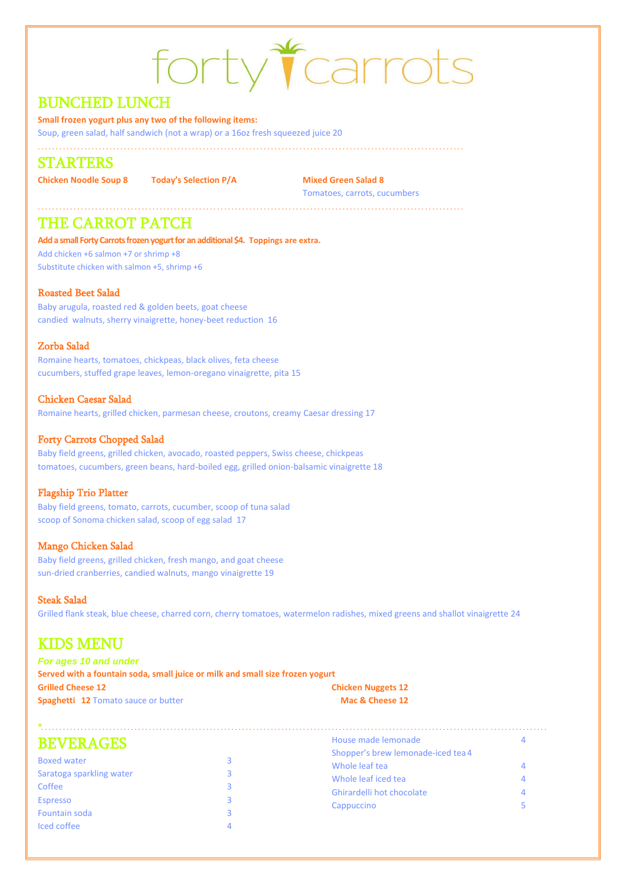# forty Tcarrots

# BUNCHED LUNCH

**Small frozen yogurt plus any two of the following items:**

Soup, green salad, half sandwich (not a wrap) or a 16oz fresh squeezed juice 20

#### . . . . . . . . . . . . . . . . . . . . . . . . . . . . . . . . . . . . . . . . . . . . . . . . . . . . . . . . . . . . . . . . . . . . . . . . . . . . . . . . . . . . . . . . . . . . . . . . . . . . . . . . . . . . . . . . . . . . . . .

# STARTERS

**Chicken Noodle Soup 8 Today's Selection P/A Mixed Green Salad 8**

. . . . . . . . . . . . . . . . . . . . . . . . . . . . . . . . . . . . . . . . . . . . . . . . . . . . . . . . . . . . . . . . . . . . . . . . . . . . . . . . . . . . . . . . . . . . . . . . . . . . . . . . . . . . . . . . . . . . . . .

Tomatoes, carrots, cucumbers

# THE CARROT PATCH

**Add a small Forty Carrots frozen yogurt for an additional \$4. Toppings are extra.**

Add chicken +6 salmon +7 or shrimp +8 Substitute chicken with salmon +5, shrimp +6

## Roasted Beet Salad

Baby arugula, roasted red & golden beets, goat cheese candied walnuts, sherry vinaigrette, honey-beet reduction 16

### Zorba Salad

Romaine hearts, tomatoes, chickpeas, black olives, feta cheese cucumbers, stuffed grape leaves, lemon-oregano vinaigrette, pita 15

## Chicken Caesar Salad

Romaine hearts, grilled chicken, parmesan cheese, croutons, creamy Caesar dressing 17

## Forty Carrots Chopped Salad

Baby field greens, grilled chicken, avocado, roasted peppers, Swiss cheese, chickpeas tomatoes, cucumbers, green beans, hard-boiled egg, grilled onion-balsamic vinaigrette 18

#### Flagship Trio Platter

Baby field greens, tomato, carrots, cucumber, scoop of tuna salad scoop of Sonoma chicken salad, scoop of egg salad 17

## Mango Chicken Salad

Baby field greens, grilled chicken, fresh mango, and goat cheese sun-dried cranberries, candied walnuts, mango vinaigrette 19

## Steak Salad

Grilled flank steak, blue cheese, charred corn, cherry tomatoes, watermelon radishes, mixed greens and shallot vinaigrette 24

# KIDS MENU

| <b>For ages 10 and under</b>                                                  |                           |  |  |
|-------------------------------------------------------------------------------|---------------------------|--|--|
| Served with a fountain soda, small juice or milk and small size frozen yogurt |                           |  |  |
| <b>Grilled Cheese 12</b>                                                      | <b>Chicken Nuggets 12</b> |  |  |
| <b>Spaghetti 12 Tomato sauce or butter</b>                                    | Mac & Cheese 12           |  |  |

| House made lemonade                |                                                                                  |
|------------------------------------|----------------------------------------------------------------------------------|
| Shopper's brew lemonade-iced tea 4 |                                                                                  |
|                                    |                                                                                  |
|                                    |                                                                                  |
|                                    |                                                                                  |
|                                    |                                                                                  |
|                                    |                                                                                  |
|                                    |                                                                                  |
|                                    |                                                                                  |
|                                    | Whole leaf tea<br>Whole leaf iced tea<br>Ghirardelli hot chocolate<br>Cappuccino |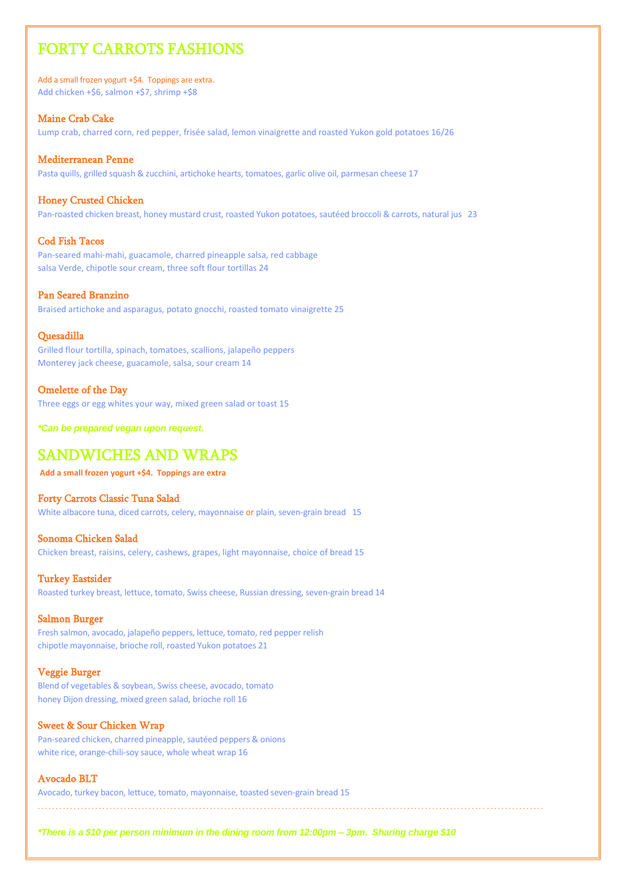# FORTY CARROTS FASHIONS

Add a small frozen yogurt +\$4. Toppings are extra. Add chicken +\$6, salmon +\$7, shrimp +\$8

#### Maine Crab Cake

Lump crab, charred corn, red pepper, frisée salad, lemon vinaigrette and roasted Yukon gold potatoes 16/26

#### Mediterranean Penne

Pasta quills, grilled squash & zucchini, artichoke hearts, tomatoes, garlic olive oil, parmesan cheese 17

#### Honey Crusted Chicken

Pan-roasted chicken breast, honey mustard crust, roasted Yukon potatoes, sautéed broccoli & carrots, natural jus 23

#### Cod Fish Tacos

Pan-seared mahi-mahi, guacamole, charred pineapple salsa, red cabbage salsa Verde, chipotle sour cream, three soft flour tortillas 24

#### Pan Seared Branzino

Braised artichoke and asparagus, potato gnocchi, roasted tomato vinaigrette 25

#### Quesadilla

Grilled flour tortilla, spinach, tomatoes, scallions, jalapeño peppers Monterey jack cheese, guacamole, salsa, sour cream 14

#### Omelette of the Day

Three eggs or egg whites your way, mixed green salad or toast 15

*\*Can be prepared vegan upon request.*

# SANDWICHES AND WRAPS

**Add a small frozen yogurt +\$4. Toppings are extra**

#### Forty Carrots Classic Tuna Salad

White albacore tuna, diced carrots, celery, mayonnaise or plain, seven-grain bread 15

#### Sonoma Chicken Salad

Chicken breast, raisins, celery, cashews, grapes, light mayonnaise, choice of bread 15

#### Turkey Eastsider

Roasted turkey breast, lettuce, tomato, Swiss cheese, Russian dressing, seven-grain bread 14

#### Salmon Burger

Fresh salmon, avocado, jalapeño peppers, lettuce, tomato, red pepper relish chipotle mayonnaise, brioche roll, roasted Yukon potatoes 21

#### Veggie Burger

Blend of vegetables & soybean, Swiss cheese, avocado, tomato honey Dijon dressing, mixed green salad, brioche roll 16

#### Sweet & Sour Chicken Wrap

Pan-seared chicken, charred pineapple, sautéed peppers & onions white rice, orange-chili-soy sauce, whole wheat wrap 16

## Avocado BLT

Avocado, turkey bacon, lettuce, tomato, mayonnaise, toasted seven-grain bread 15

. . . . . . . . . . . . . . . . . . . . . . . . . . . . . . . . . . . . . . . . . . . . . . . . . . . . . . . . . . . . . . . . . . . . . . . . . . . . . . . . . . . . . . . . . . . . . . . . . . . . . . . . . . . . . . . . . . . . . . . . . . . . . . . . . . . . . . . . . . . . .

*\*There is a \$10 per person minimum in the dining room from 12:00pm – 3pm. Sharing charge \$10*